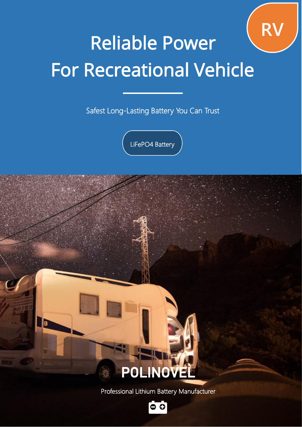

# Reliable Power (RV For Recreational Vehicle

Safest Long-Lasting Battery You Can Trust

LiFePO4 Battery

## POLINOVEL **Andrew Strategie**

la

Professional Lithium Battery Manufacturer

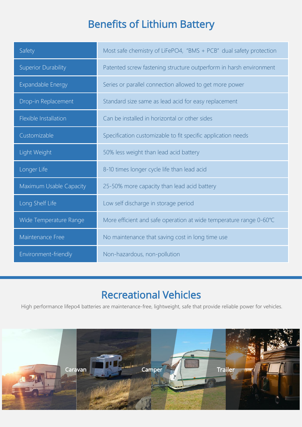### Benefits of Lithium Battery

| Safety                     | Most safe chemistry of LiFePO4, "BMS + PCB" dual safety protection |  |
|----------------------------|--------------------------------------------------------------------|--|
| <b>Superior Durability</b> | Patented screw fastening structure outperform in harsh environment |  |
| Expandable Energy          | Series or parallel connection allowed to get more power            |  |
| Drop-in Replacement        | Standard size same as lead acid for easy replacement               |  |
| Flexible Installation      | Can be installed in horizontal or other sides                      |  |
| Customizable               | Specification customizable to fit specific application needs       |  |
| Light Weight               | 50% less weight than lead acid battery                             |  |
| Longer Life                | 8-10 times longer cycle life than lead acid                        |  |
| Maximum Usable Capacity    | 25-50% more capacity than lead acid battery                        |  |
| Long Shelf Life            | Low self discharge in storage period                               |  |
| Wide Temperature Range     | More efficient and safe operation at wide temperature range 0-60°C |  |
| Maintenance Free           | No maintenance that saving cost in long time use                   |  |
| Environment-friendly       | Non-hazardous, non-pollution                                       |  |

### Recreational Vehicles

High performance lifepo4 batteries are maintenance-free, lightweight, safe that provide reliable power for vehicles.